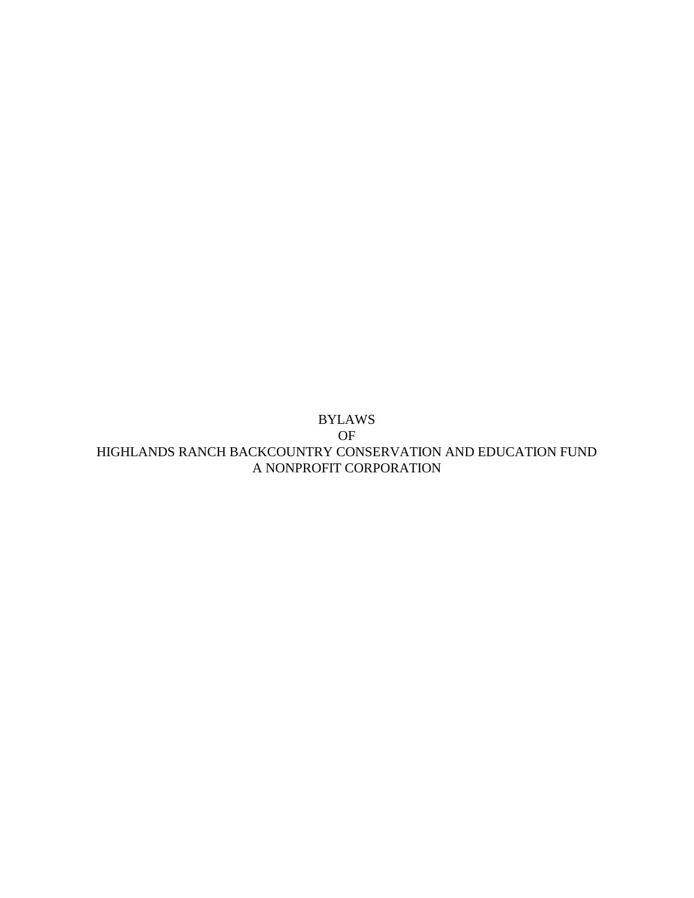BYLAWS OF HIGHLANDS RANCH BACKCOUNTRY CONSERVATION AND EDUCATION FUND A NONPROFIT CORPORATION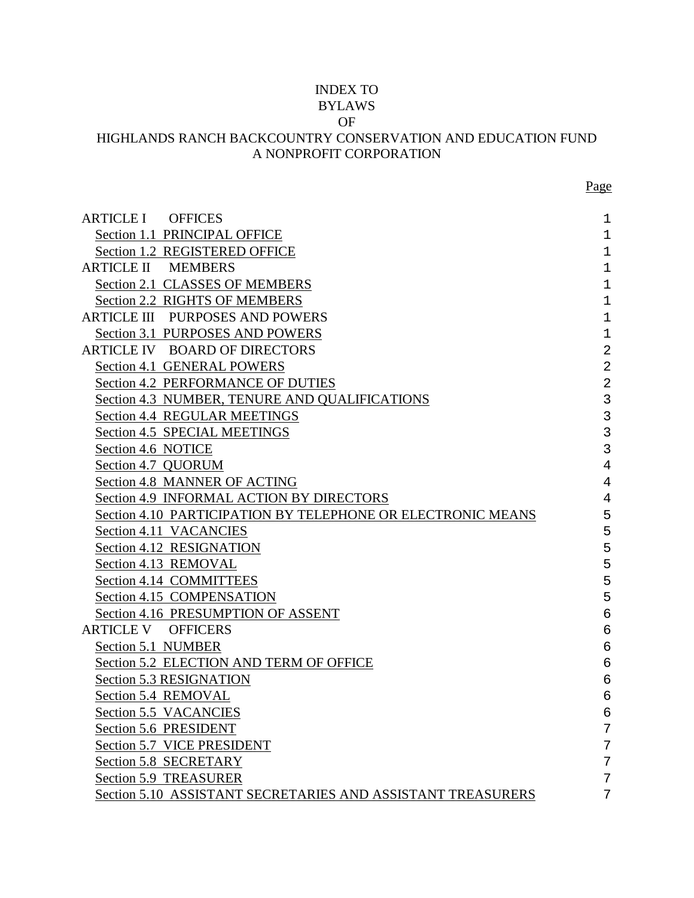# INDEX TO BYLAWS

#### OF

# HIGHLANDS RANCH BACKCOUNTRY CONSERVATION AND EDUCATION FUND A NONPROFIT CORPORATION

| <b>ARTICLE I OFFICES</b>                                    | 1              |
|-------------------------------------------------------------|----------------|
| Section 1.1 PRINCIPAL OFFICE                                | $\mathbf{1}$   |
| Section 1.2 REGISTERED OFFICE                               | $\mathbf 1$    |
| <b>ARTICLE II MEMBERS</b>                                   | $\mathbf{1}$   |
| Section 2.1 CLASSES OF MEMBERS                              | $\mathbf{1}$   |
| Section 2.2 RIGHTS OF MEMBERS                               | $\mathbf{1}$   |
| ARTICLE III PURPOSES AND POWERS                             | $\mathbf{1}$   |
| Section 3.1 PURPOSES AND POWERS                             | $\mathbf{1}$   |
| ARTICLE IV BOARD OF DIRECTORS                               | $\overline{a}$ |
| Section 4.1 GENERAL POWERS                                  | $\overline{a}$ |
| Section 4.2 PERFORMANCE OF DUTIES                           | $\overline{a}$ |
| Section 4.3 NUMBER, TENURE AND QUALIFICATIONS               | $\overline{3}$ |
| Section 4.4 REGULAR MEETINGS                                | $\overline{3}$ |
| Section 4.5 SPECIAL MEETINGS                                | $\overline{3}$ |
| Section 4.6 NOTICE                                          | $\overline{3}$ |
| Section 4.7 QUORUM                                          | $\overline{4}$ |
| Section 4.8 MANNER OF ACTING                                | $\overline{4}$ |
| Section 4.9 INFORMAL ACTION BY DIRECTORS                    | $\overline{4}$ |
| Section 4.10 PARTICIPATION BY TELEPHONE OR ELECTRONIC MEANS | 5              |
| Section 4.11 VACANCIES                                      | 5              |
| Section 4.12 RESIGNATION                                    | 5              |
| Section 4.13 REMOVAL                                        | 5              |
| Section 4.14 COMMITTEES                                     | 5              |
| Section 4.15 COMPENSATION                                   | 5              |
| Section 4.16 PRESUMPTION OF ASSENT                          | $\overline{6}$ |
| <b>ARTICLE V OFFICERS</b>                                   | $\epsilon$     |
| Section 5.1 NUMBER                                          | $\overline{6}$ |
| Section 5.2 ELECTION AND TERM OF OFFICE                     | $\overline{6}$ |
| Section 5.3 RESIGNATION                                     | $\overline{6}$ |
| Section 5.4 REMOVAL                                         | 6              |
| Section 5.5 VACANCIES                                       | 6              |
| Section 5.6 PRESIDENT                                       | 7              |
| Section 5.7 VICE PRESIDENT                                  | 7              |
| Section 5.8 SECRETARY                                       | 7              |
| Section 5.9 TREASURER                                       | 7              |
| Section 5.10 ASSISTANT SECRETARIES AND ASSISTANT TREASURERS | 7              |
|                                                             |                |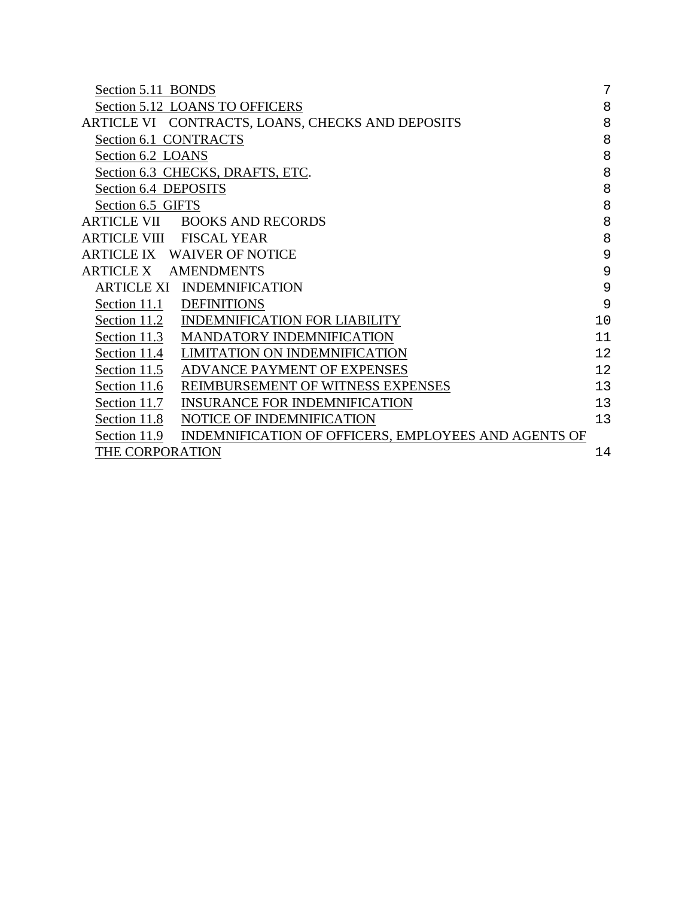| Section 5.11 BONDS                                                   | 7  |
|----------------------------------------------------------------------|----|
| Section 5.12 LOANS TO OFFICERS                                       | 8  |
| ARTICLE VI CONTRACTS, LOANS, CHECKS AND DEPOSITS                     | 8  |
| Section 6.1 CONTRACTS                                                | 8  |
| Section 6.2 LOANS                                                    | 8  |
| Section 6.3 CHECKS, DRAFTS, ETC.                                     | 8  |
| Section 6.4 DEPOSITS                                                 | 8  |
| Section 6.5 GIFTS                                                    | 8  |
| ARTICLE VII BOOKS AND RECORDS                                        | 8  |
| ARTICLE VIII FISCAL YEAR                                             | 8  |
| <b>ARTICLE IX</b><br><b>WAIVER OF NOTICE</b>                         | 9  |
| <b>ARTICLE X</b><br><b>AMENDMENTS</b>                                | 9  |
| <b>INDEMNIFICATION</b><br><b>ARTICLE XI</b>                          | 9  |
| <b>DEFINITIONS</b><br>Section 11.1                                   | 9  |
| Section 11.2 INDEMNIFICATION FOR LIABILITY                           | 10 |
| Section 11.3<br><b>MANDATORY INDEMNIFICATION</b>                     | 11 |
| Section 11.4<br>LIMITATION ON INDEMNIFICATION                        | 12 |
| Section 11.5<br>ADVANCE PAYMENT OF EXPENSES                          | 12 |
| Section 11.6<br>REIMBURSEMENT OF WITNESS EXPENSES                    | 13 |
| Section 11.7<br><b>INSURANCE FOR INDEMNIFICATION</b>                 | 13 |
| Section 11.8<br>NOTICE OF INDEMNIFICATION                            | 13 |
| INDEMNIFICATION OF OFFICERS, EMPLOYEES AND AGENTS OF<br>Section 11.9 |    |
| THE CORPORATION                                                      | 14 |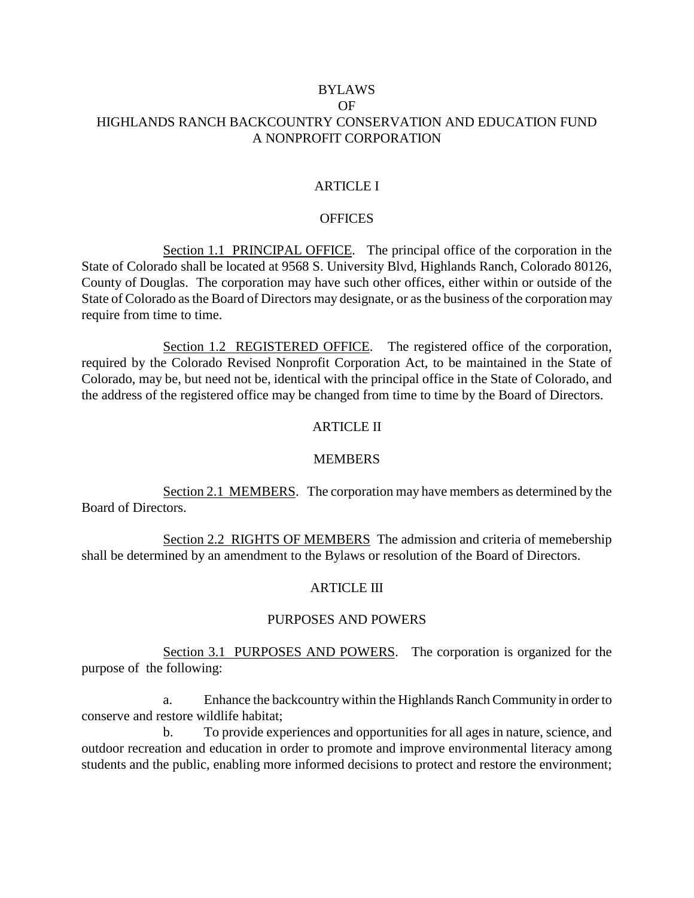### BYLAWS OF HIGHLANDS RANCH BACKCOUNTRY CONSERVATION AND EDUCATION FUND A NONPROFIT CORPORATION

#### ARTICLE I

#### **OFFICES**

Section 1.1 PRINCIPAL OFFICE. The principal office of the corporation in the State of Colorado shall be located at 9568 S. University Blvd, Highlands Ranch, Colorado 80126, County of Douglas. The corporation may have such other offices, either within or outside of the State of Colorado as the Board of Directors may designate, or as the business of the corporation may require from time to time.

Section 1.2 REGISTERED OFFICE. The registered office of the corporation, required by the Colorado Revised Nonprofit Corporation Act, to be maintained in the State of Colorado, may be, but need not be, identical with the principal office in the State of Colorado, and the address of the registered office may be changed from time to time by the Board of Directors.

#### ARTICLE II

#### **MEMBERS**

Section 2.1 MEMBERS. The corporation may have members as determined by the Board of Directors.

Section 2.2 RIGHTS OF MEMBERS The admission and criteria of memebership shall be determined by an amendment to the Bylaws or resolution of the Board of Directors.

#### ARTICLE III

#### PURPOSES AND POWERS

Section 3.1 PURPOSES AND POWERS. The corporation is organized for the purpose of the following:

a. Enhance the backcountry within the Highlands Ranch Community in order to conserve and restore wildlife habitat;

b. To provide experiences and opportunities for all ages in nature, science, and outdoor recreation and education in order to promote and improve environmental literacy among students and the public, enabling more informed decisions to protect and restore the environment;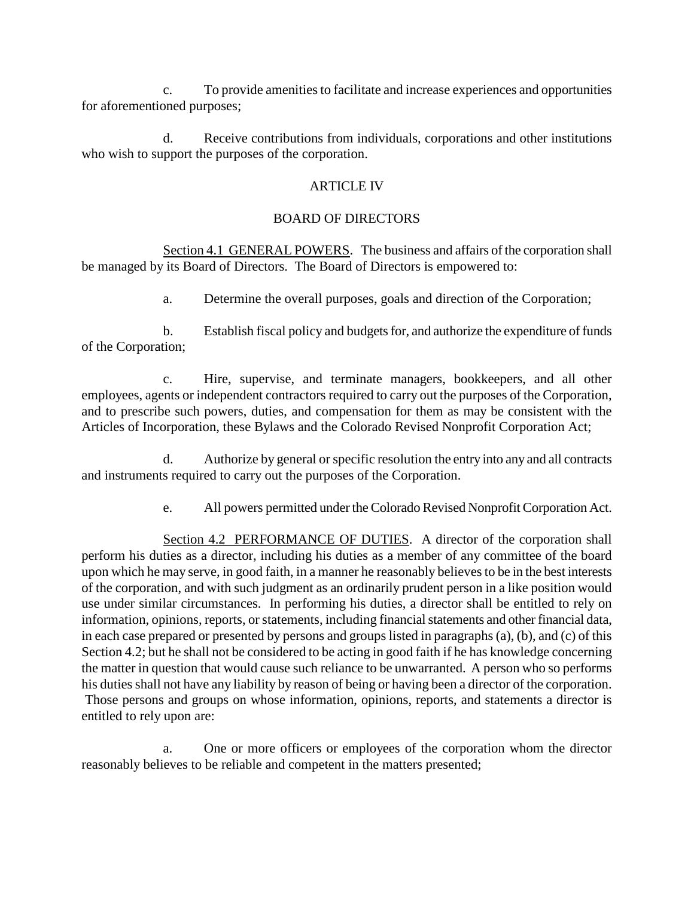c. To provide amenities to facilitate and increase experiences and opportunities for aforementioned purposes;

d. Receive contributions from individuals, corporations and other institutions who wish to support the purposes of the corporation.

## ARTICLE IV

## BOARD OF DIRECTORS

Section 4.1 GENERAL POWERS. The business and affairs of the corporation shall be managed by its Board of Directors. The Board of Directors is empowered to:

a. Determine the overall purposes, goals and direction of the Corporation;

b. Establish fiscal policy and budgets for, and authorize the expenditure of funds of the Corporation;

c. Hire, supervise, and terminate managers, bookkeepers, and all other employees, agents or independent contractors required to carry out the purposes of the Corporation, and to prescribe such powers, duties, and compensation for them as may be consistent with the Articles of Incorporation, these Bylaws and the Colorado Revised Nonprofit Corporation Act;

d. Authorize by general or specific resolution the entry into any and all contracts and instruments required to carry out the purposes of the Corporation.

e. All powers permitted under the Colorado Revised Nonprofit Corporation Act.

Section 4.2 PERFORMANCE OF DUTIES. A director of the corporation shall perform his duties as a director, including his duties as a member of any committee of the board upon which he may serve, in good faith, in a manner he reasonably believes to be in the best interests of the corporation, and with such judgment as an ordinarily prudent person in a like position would use under similar circumstances. In performing his duties, a director shall be entitled to rely on information, opinions, reports, or statements, including financial statements and other financial data, in each case prepared or presented by persons and groups listed in paragraphs (a), (b), and (c) of this Section 4.2; but he shall not be considered to be acting in good faith if he has knowledge concerning the matter in question that would cause such reliance to be unwarranted. A person who so performs his duties shall not have any liability by reason of being or having been a director of the corporation.

Those persons and groups on whose information, opinions, reports, and statements a director is entitled to rely upon are:

a. One or more officers or employees of the corporation whom the director reasonably believes to be reliable and competent in the matters presented;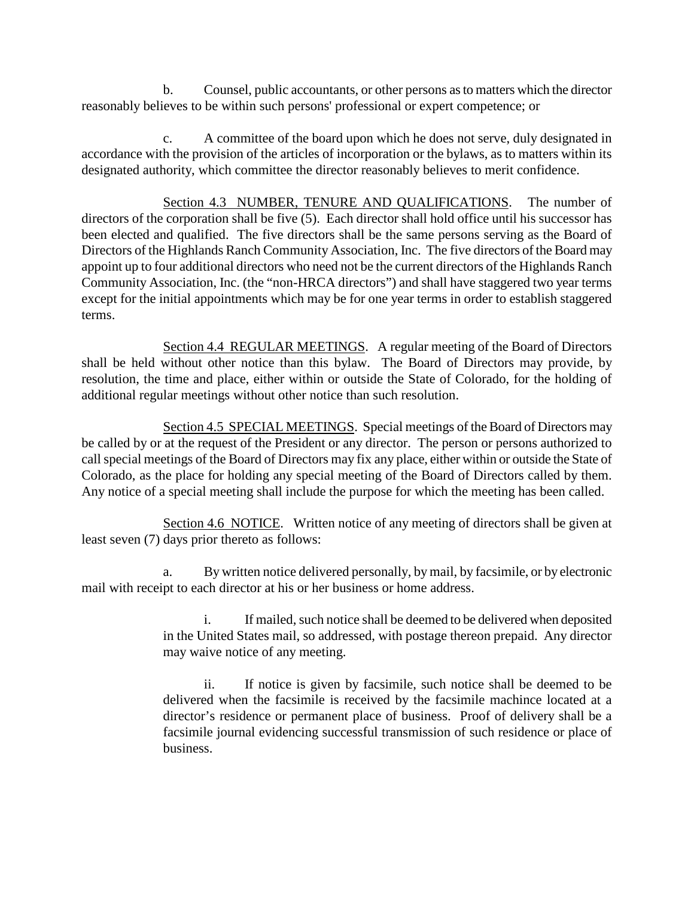b. Counsel, public accountants, or other persons as to matters which the director reasonably believes to be within such persons' professional or expert competence; or

c. A committee of the board upon which he does not serve, duly designated in accordance with the provision of the articles of incorporation or the bylaws, as to matters within its designated authority, which committee the director reasonably believes to merit confidence.

Section 4.3 NUMBER, TENURE AND QUALIFICATIONS. The number of directors of the corporation shall be five (5). Each director shall hold office until his successor has been elected and qualified. The five directors shall be the same persons serving as the Board of Directors of the Highlands Ranch Community Association, Inc. The five directors of the Board may appoint up to four additional directors who need not be the current directors of the Highlands Ranch Community Association, Inc. (the "non-HRCA directors") and shall have staggered two year terms except for the initial appointments which may be for one year terms in order to establish staggered terms.

Section 4.4 REGULAR MEETINGS. A regular meeting of the Board of Directors shall be held without other notice than this bylaw. The Board of Directors may provide, by resolution, the time and place, either within or outside the State of Colorado, for the holding of additional regular meetings without other notice than such resolution.

Section 4.5 SPECIAL MEETINGS. Special meetings of the Board of Directors may be called by or at the request of the President or any director. The person or persons authorized to call special meetings of the Board of Directors may fix any place, either within or outside the State of Colorado, as the place for holding any special meeting of the Board of Directors called by them. Any notice of a special meeting shall include the purpose for which the meeting has been called.

Section 4.6 NOTICE. Written notice of any meeting of directors shall be given at least seven (7) days prior thereto as follows:

By written notice delivered personally, by mail, by facsimile, or by electronic mail with receipt to each director at his or her business or home address.

> i. If mailed, such notice shall be deemed to be delivered when deposited in the United States mail, so addressed, with postage thereon prepaid. Any director may waive notice of any meeting.

> ii. If notice is given by facsimile, such notice shall be deemed to be delivered when the facsimile is received by the facsimile machince located at a director's residence or permanent place of business. Proof of delivery shall be a facsimile journal evidencing successful transmission of such residence or place of business.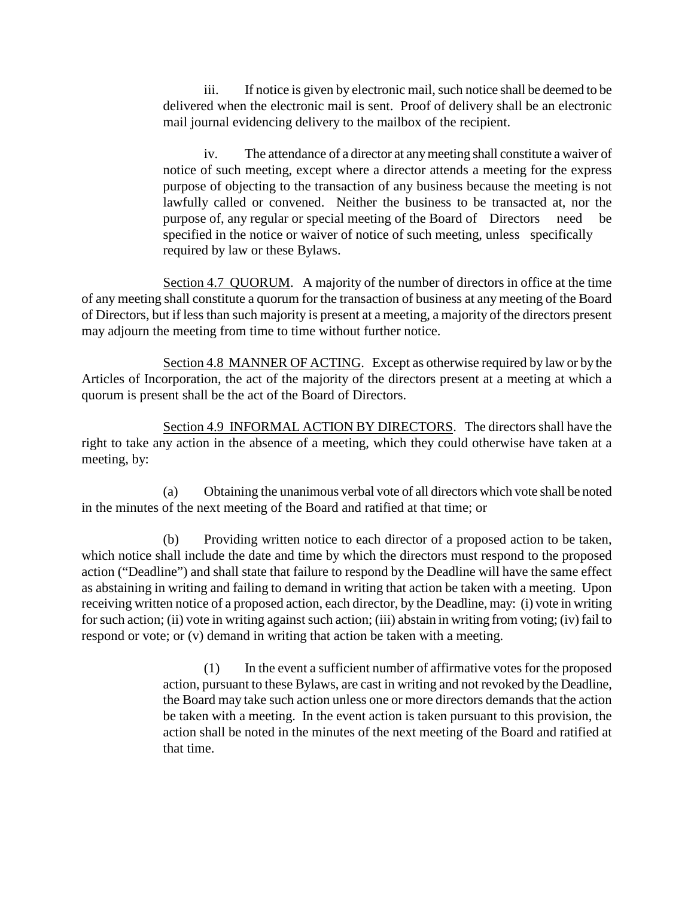iii. If notice is given by electronic mail, such notice shall be deemed to be delivered when the electronic mail is sent. Proof of delivery shall be an electronic mail journal evidencing delivery to the mailbox of the recipient.

 iv. The attendance of a director at any meeting shall constitute a waiver of notice of such meeting, except where a director attends a meeting for the express purpose of objecting to the transaction of any business because the meeting is not lawfully called or convened. Neither the business to be transacted at, nor the purpose of, any regular or special meeting of the Board of Directors need be specified in the notice or waiver of notice of such meeting, unless specifically required by law or these Bylaws.

Section 4.7 QUORUM. A majority of the number of directors in office at the time of any meeting shall constitute a quorum for the transaction of business at any meeting of the Board of Directors, but if less than such majority is present at a meeting, a majority of the directors present may adjourn the meeting from time to time without further notice.

Section 4.8 MANNER OF ACTING. Except as otherwise required by law or by the Articles of Incorporation, the act of the majority of the directors present at a meeting at which a quorum is present shall be the act of the Board of Directors.

Section 4.9 INFORMAL ACTION BY DIRECTORS. The directors shall have the right to take any action in the absence of a meeting, which they could otherwise have taken at a meeting, by:

(a) Obtaining the unanimous verbal vote of all directors which vote shall be noted in the minutes of the next meeting of the Board and ratified at that time; or

(b) Providing written notice to each director of a proposed action to be taken, which notice shall include the date and time by which the directors must respond to the proposed action ("Deadline") and shall state that failure to respond by the Deadline will have the same effect as abstaining in writing and failing to demand in writing that action be taken with a meeting. Upon receiving written notice of a proposed action, each director, by the Deadline, may: (i) vote in writing for such action; (ii) vote in writing against such action; (iii) abstain in writing from voting; (iv) fail to respond or vote; or (v) demand in writing that action be taken with a meeting.

> (1) In the event a sufficient number of affirmative votes for the proposed action, pursuant to these Bylaws, are cast in writing and not revoked by the Deadline, the Board may take such action unless one or more directors demands that the action be taken with a meeting. In the event action is taken pursuant to this provision, the action shall be noted in the minutes of the next meeting of the Board and ratified at that time.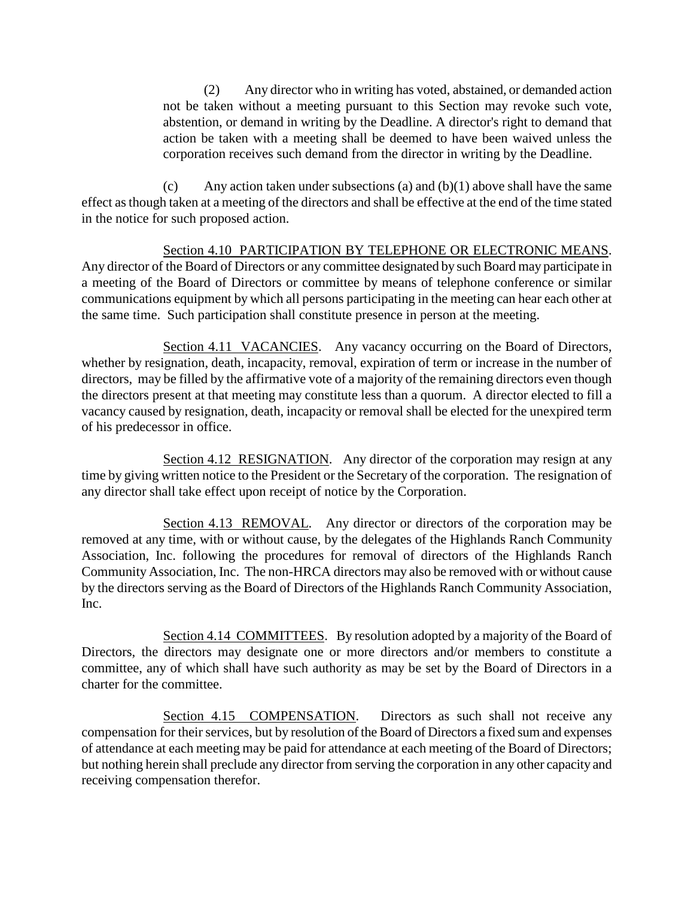(2) Any director who in writing has voted, abstained, or demanded action not be taken without a meeting pursuant to this Section may revoke such vote, abstention, or demand in writing by the Deadline. A director's right to demand that action be taken with a meeting shall be deemed to have been waived unless the corporation receives such demand from the director in writing by the Deadline.

(c) Any action taken under subsections (a) and  $(b)(1)$  above shall have the same effect as though taken at a meeting of the directors and shall be effective at the end of the time stated in the notice for such proposed action.

Section 4.10 PARTICIPATION BY TELEPHONE OR ELECTRONIC MEANS. Any director of the Board of Directors or any committee designated by such Board may participate in a meeting of the Board of Directors or committee by means of telephone conference or similar communications equipment by which all persons participating in the meeting can hear each other at the same time. Such participation shall constitute presence in person at the meeting.

Section 4.11 VACANCIES. Any vacancy occurring on the Board of Directors, whether by resignation, death, incapacity, removal, expiration of term or increase in the number of directors, may be filled by the affirmative vote of a majority of the remaining directors even though the directors present at that meeting may constitute less than a quorum. A director elected to fill a vacancy caused by resignation, death, incapacity or removal shall be elected for the unexpired term of his predecessor in office.

Section 4.12 RESIGNATION. Any director of the corporation may resign at any time by giving written notice to the President or the Secretary of the corporation. The resignation of any director shall take effect upon receipt of notice by the Corporation.

Section 4.13 REMOVAL. Any director or directors of the corporation may be removed at any time, with or without cause, by the delegates of the Highlands Ranch Community Association, Inc. following the procedures for removal of directors of the Highlands Ranch Community Association, Inc. The non-HRCA directors may also be removed with or without cause by the directors serving as the Board of Directors of the Highlands Ranch Community Association, Inc.

Section 4.14 COMMITTEES. By resolution adopted by a majority of the Board of Directors, the directors may designate one or more directors and/or members to constitute a committee, any of which shall have such authority as may be set by the Board of Directors in a charter for the committee.

Section 4.15 COMPENSATION. Directors as such shall not receive any compensation for their services, but by resolution of the Board of Directors a fixed sum and expenses of attendance at each meeting may be paid for attendance at each meeting of the Board of Directors; but nothing herein shall preclude any director from serving the corporation in any other capacity and receiving compensation therefor.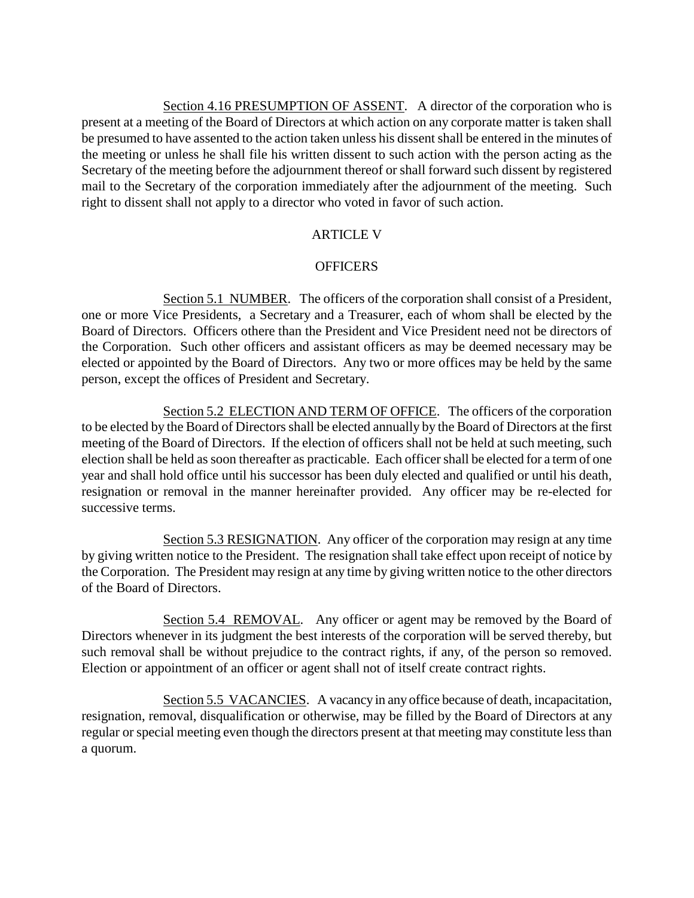Section 4.16 PRESUMPTION OF ASSENT. A director of the corporation who is present at a meeting of the Board of Directors at which action on any corporate matter is taken shall be presumed to have assented to the action taken unless his dissent shall be entered in the minutes of the meeting or unless he shall file his written dissent to such action with the person acting as the Secretary of the meeting before the adjournment thereof or shall forward such dissent by registered mail to the Secretary of the corporation immediately after the adjournment of the meeting. Such right to dissent shall not apply to a director who voted in favor of such action.

## ARTICLE V

## **OFFICERS**

Section 5.1 NUMBER. The officers of the corporation shall consist of a President, one or more Vice Presidents, a Secretary and a Treasurer, each of whom shall be elected by the Board of Directors. Officers othere than the President and Vice President need not be directors of the Corporation. Such other officers and assistant officers as may be deemed necessary may be elected or appointed by the Board of Directors. Any two or more offices may be held by the same person, except the offices of President and Secretary.

Section 5.2 ELECTION AND TERM OF OFFICE. The officers of the corporation to be elected by the Board of Directors shall be elected annually by the Board of Directors at the first meeting of the Board of Directors. If the election of officers shall not be held at such meeting, such election shall be held as soon thereafter as practicable. Each officer shall be elected for a term of one year and shall hold office until his successor has been duly elected and qualified or until his death, resignation or removal in the manner hereinafter provided. Any officer may be re-elected for successive terms.

Section 5.3 RESIGNATION. Any officer of the corporation may resign at any time by giving written notice to the President. The resignation shall take effect upon receipt of notice by the Corporation. The President may resign at any time by giving written notice to the other directors of the Board of Directors.

Section 5.4 REMOVAL. Any officer or agent may be removed by the Board of Directors whenever in its judgment the best interests of the corporation will be served thereby, but such removal shall be without prejudice to the contract rights, if any, of the person so removed. Election or appointment of an officer or agent shall not of itself create contract rights.

Section 5.5 VACANCIES. A vacancy in any office because of death, incapacitation, resignation, removal, disqualification or otherwise, may be filled by the Board of Directors at any regular or special meeting even though the directors present at that meeting may constitute less than a quorum.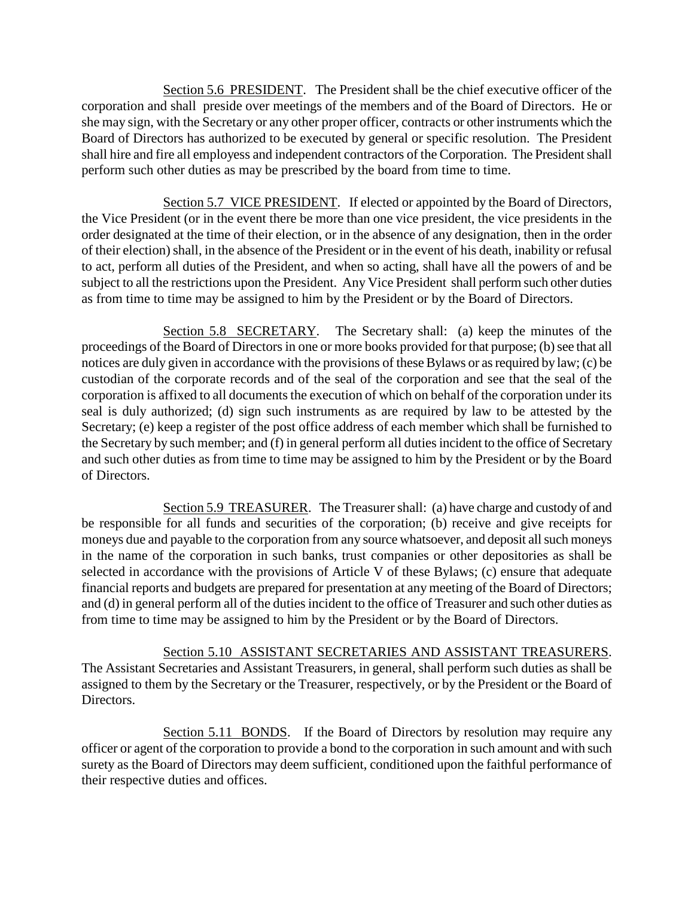Section 5.6 PRESIDENT. The President shall be the chief executive officer of the corporation and shall preside over meetings of the members and of the Board of Directors. He or she may sign, with the Secretary or any other proper officer, contracts or other instruments which the Board of Directors has authorized to be executed by general or specific resolution. The President shall hire and fire all employess and independent contractors of the Corporation. The President shall perform such other duties as may be prescribed by the board from time to time.

Section 5.7 VICE PRESIDENT. If elected or appointed by the Board of Directors, the Vice President (or in the event there be more than one vice president, the vice presidents in the order designated at the time of their election, or in the absence of any designation, then in the order of their election) shall, in the absence of the President or in the event of his death, inability or refusal to act, perform all duties of the President, and when so acting, shall have all the powers of and be subject to all the restrictions upon the President. Any Vice President shall perform such other duties as from time to time may be assigned to him by the President or by the Board of Directors.

Section 5.8 SECRETARY. The Secretary shall: (a) keep the minutes of the proceedings of the Board of Directors in one or more books provided for that purpose; (b) see that all notices are duly given in accordance with the provisions of these Bylaws or as required by law; (c) be custodian of the corporate records and of the seal of the corporation and see that the seal of the corporation is affixed to all documents the execution of which on behalf of the corporation under its seal is duly authorized; (d) sign such instruments as are required by law to be attested by the Secretary; (e) keep a register of the post office address of each member which shall be furnished to the Secretary by such member; and (f) in general perform all duties incident to the office of Secretary and such other duties as from time to time may be assigned to him by the President or by the Board of Directors.

Section 5.9 TREASURER. The Treasurer shall: (a) have charge and custody of and be responsible for all funds and securities of the corporation; (b) receive and give receipts for moneys due and payable to the corporation from any source whatsoever, and deposit all such moneys in the name of the corporation in such banks, trust companies or other depositories as shall be selected in accordance with the provisions of Article V of these Bylaws; (c) ensure that adequate financial reports and budgets are prepared for presentation at any meeting of the Board of Directors; and (d) in general perform all of the duties incident to the office of Treasurer and such other duties as from time to time may be assigned to him by the President or by the Board of Directors.

Section 5.10 ASSISTANT SECRETARIES AND ASSISTANT TREASURERS. The Assistant Secretaries and Assistant Treasurers, in general, shall perform such duties as shall be assigned to them by the Secretary or the Treasurer, respectively, or by the President or the Board of Directors.

Section 5.11 BONDS. If the Board of Directors by resolution may require any officer or agent of the corporation to provide a bond to the corporation in such amount and with such surety as the Board of Directors may deem sufficient, conditioned upon the faithful performance of their respective duties and offices.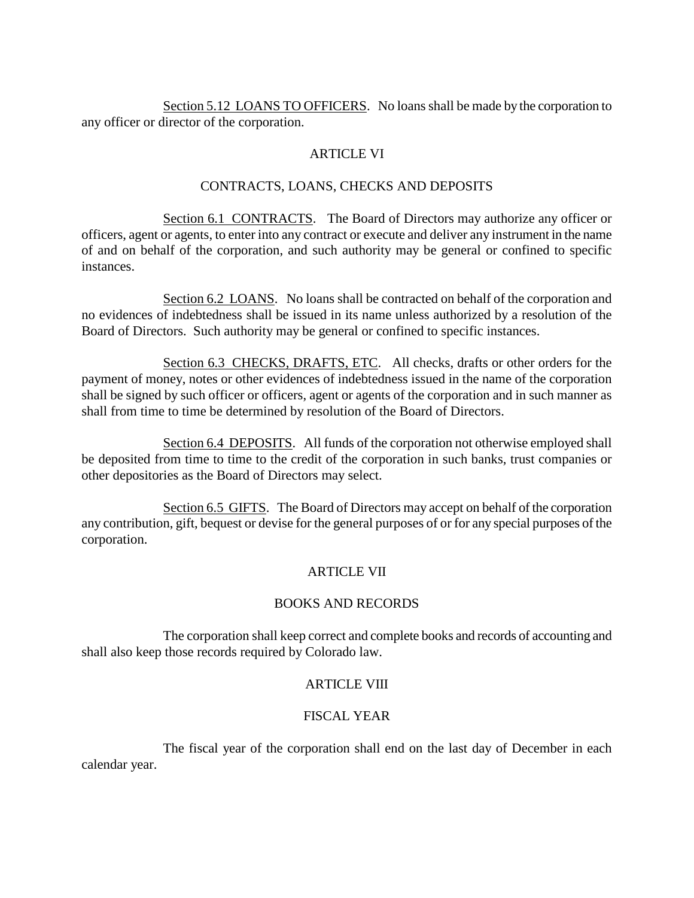Section 5.12 LOANS TO OFFICERS. No loans shall be made by the corporation to any officer or director of the corporation.

## ARTICLE VI

### CONTRACTS, LOANS, CHECKS AND DEPOSITS

Section 6.1 CONTRACTS. The Board of Directors may authorize any officer or officers, agent or agents, to enter into any contract or execute and deliver any instrument in the name of and on behalf of the corporation, and such authority may be general or confined to specific instances.

Section 6.2 LOANS. No loans shall be contracted on behalf of the corporation and no evidences of indebtedness shall be issued in its name unless authorized by a resolution of the Board of Directors. Such authority may be general or confined to specific instances.

Section 6.3 CHECKS, DRAFTS, ETC. All checks, drafts or other orders for the payment of money, notes or other evidences of indebtedness issued in the name of the corporation shall be signed by such officer or officers, agent or agents of the corporation and in such manner as shall from time to time be determined by resolution of the Board of Directors.

Section 6.4 DEPOSITS. All funds of the corporation not otherwise employed shall be deposited from time to time to the credit of the corporation in such banks, trust companies or other depositories as the Board of Directors may select.

Section 6.5 GIFTS. The Board of Directors may accept on behalf of the corporation any contribution, gift, bequest or devise for the general purposes of or for any special purposes of the corporation.

## ARTICLE VII

### BOOKS AND RECORDS

The corporation shall keep correct and complete books and records of accounting and shall also keep those records required by Colorado law.

### ARTICLE VIII

### FISCAL YEAR

The fiscal year of the corporation shall end on the last day of December in each calendar year.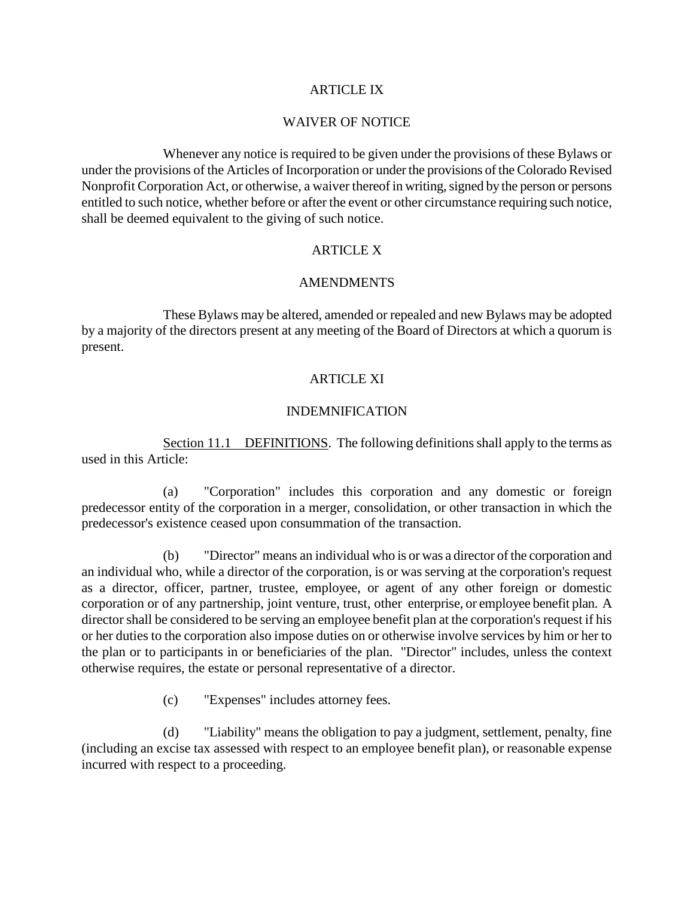### ARTICLE IX

#### WAIVER OF NOTICE

Whenever any notice is required to be given under the provisions of these Bylaws or under the provisions of the Articles of Incorporation or under the provisions of the Colorado Revised Nonprofit Corporation Act, or otherwise, a waiver thereof in writing, signed by the person or persons entitled to such notice, whether before or after the event or other circumstance requiring such notice, shall be deemed equivalent to the giving of such notice.

### ARTICLE X

#### AMENDMENTS

These Bylaws may be altered, amended or repealed and new Bylaws may be adopted by a majority of the directors present at any meeting of the Board of Directors at which a quorum is present.

### ARTICLE XI

### INDEMNIFICATION

Section 11.1 DEFINITIONS. The following definitions shall apply to the terms as used in this Article:

(a) "Corporation" includes this corporation and any domestic or foreign predecessor entity of the corporation in a merger, consolidation, or other transaction in which the predecessor's existence ceased upon consummation of the transaction.

(b) "Director" means an individual who is or was a director of the corporation and an individual who, while a director of the corporation, is or was serving at the corporation's request as a director, officer, partner, trustee, employee, or agent of any other foreign or domestic corporation or of any partnership, joint venture, trust, other enterprise, or employee benefit plan. A director shall be considered to be serving an employee benefit plan at the corporation's request if his or her duties to the corporation also impose duties on or otherwise involve services by him or her to the plan or to participants in or beneficiaries of the plan. "Director" includes, unless the context otherwise requires, the estate or personal representative of a director.

(c) "Expenses" includes attorney fees.

(d) "Liability" means the obligation to pay a judgment, settlement, penalty, fine (including an excise tax assessed with respect to an employee benefit plan), or reasonable expense incurred with respect to a proceeding.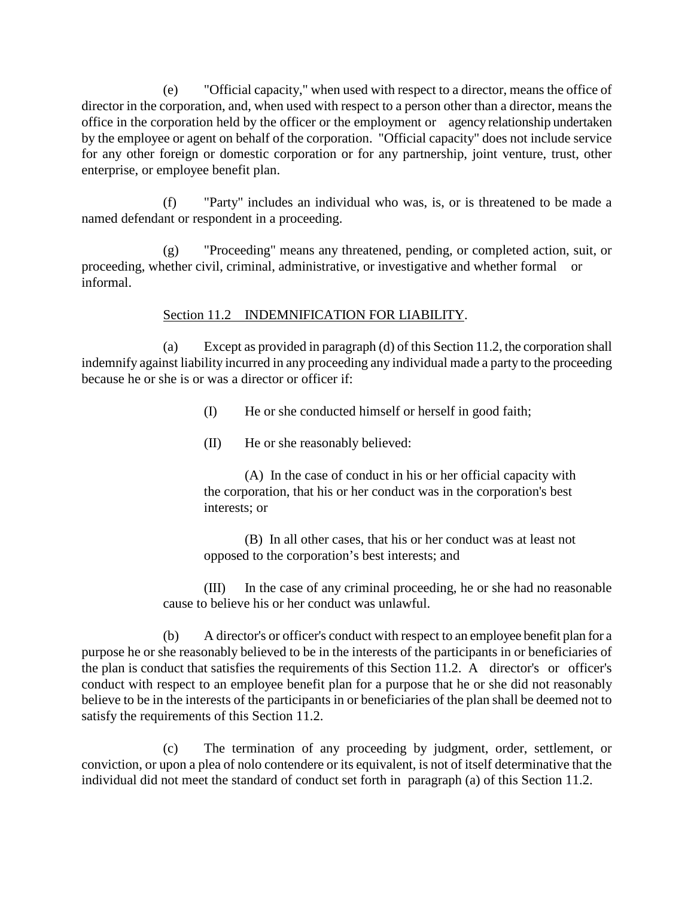(e) "Official capacity," when used with respect to a director, means the office of director in the corporation, and, when used with respect to a person other than a director, means the office in the corporation held by the officer or the employment or agency relationship undertaken by the employee or agent on behalf of the corporation. "Official capacity" does not include service for any other foreign or domestic corporation or for any partnership, joint venture, trust, other enterprise, or employee benefit plan.

(f) "Party" includes an individual who was, is, or is threatened to be made a named defendant or respondent in a proceeding.

(g) "Proceeding" means any threatened, pending, or completed action, suit, or proceeding, whether civil, criminal, administrative, or investigative and whether formal or informal.

### Section 11.2 INDEMNIFICATION FOR LIABILITY.

(a) Except as provided in paragraph (d) of this Section 11.2, the corporation shall indemnify against liability incurred in any proceeding any individual made a party to the proceeding because he or she is or was a director or officer if:

- (I) He or she conducted himself or herself in good faith;
- (II) He or she reasonably believed:

 (A) In the case of conduct in his or her official capacity with the corporation, that his or her conduct was in the corporation's best interests; or

 (B) In all other cases, that his or her conduct was at least not opposed to the corporation's best interests; and

(III) In the case of any criminal proceeding, he or she had no reasonable cause to believe his or her conduct was unlawful.

(b) A director's or officer's conduct with respect to an employee benefit plan for a purpose he or she reasonably believed to be in the interests of the participants in or beneficiaries of the plan is conduct that satisfies the requirements of this Section 11.2. A director's or officer's conduct with respect to an employee benefit plan for a purpose that he or she did not reasonably believe to be in the interests of the participants in or beneficiaries of the plan shall be deemed not to satisfy the requirements of this Section 11.2.

(c) The termination of any proceeding by judgment, order, settlement, or conviction, or upon a plea of nolo contendere or its equivalent, is not of itself determinative that the individual did not meet the standard of conduct set forth in paragraph (a) of this Section 11.2.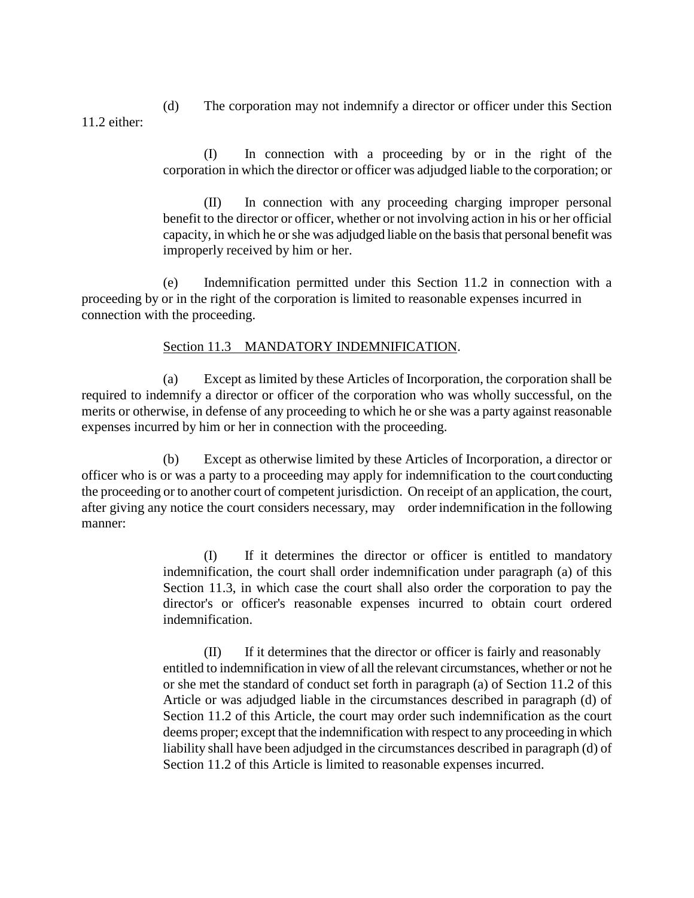(d) The corporation may not indemnify a director or officer under this Section 11.2 either:

> (I) In connection with a proceeding by or in the right of the corporation in which the director or officer was adjudged liable to the corporation; or

> (II) In connection with any proceeding charging improper personal benefit to the director or officer, whether or not involving action in his or her official capacity, in which he or she was adjudged liable on the basis that personal benefit was improperly received by him or her.

(e) Indemnification permitted under this Section 11.2 in connection with a proceeding by or in the right of the corporation is limited to reasonable expenses incurred in connection with the proceeding.

### Section 11.3 MANDATORY INDEMNIFICATION.

(a) Except as limited by these Articles of Incorporation, the corporation shall be required to indemnify a director or officer of the corporation who was wholly successful, on the merits or otherwise, in defense of any proceeding to which he or she was a party against reasonable expenses incurred by him or her in connection with the proceeding.

(b) Except as otherwise limited by these Articles of Incorporation, a director or officer who is or was a party to a proceeding may apply for indemnification to the court conducting the proceeding or to another court of competent jurisdiction. On receipt of an application, the court, after giving any notice the court considers necessary, may order indemnification in the following manner:

> (I) If it determines the director or officer is entitled to mandatory indemnification, the court shall order indemnification under paragraph (a) of this Section 11.3, in which case the court shall also order the corporation to pay the director's or officer's reasonable expenses incurred to obtain court ordered indemnification.

> (II) If it determines that the director or officer is fairly and reasonably entitled to indemnification in view of all the relevant circumstances, whether or not he or she met the standard of conduct set forth in paragraph (a) of Section 11.2 of this Article or was adjudged liable in the circumstances described in paragraph (d) of Section 11.2 of this Article, the court may order such indemnification as the court deems proper; except that the indemnification with respect to any proceeding in which liability shall have been adjudged in the circumstances described in paragraph (d) of Section 11.2 of this Article is limited to reasonable expenses incurred.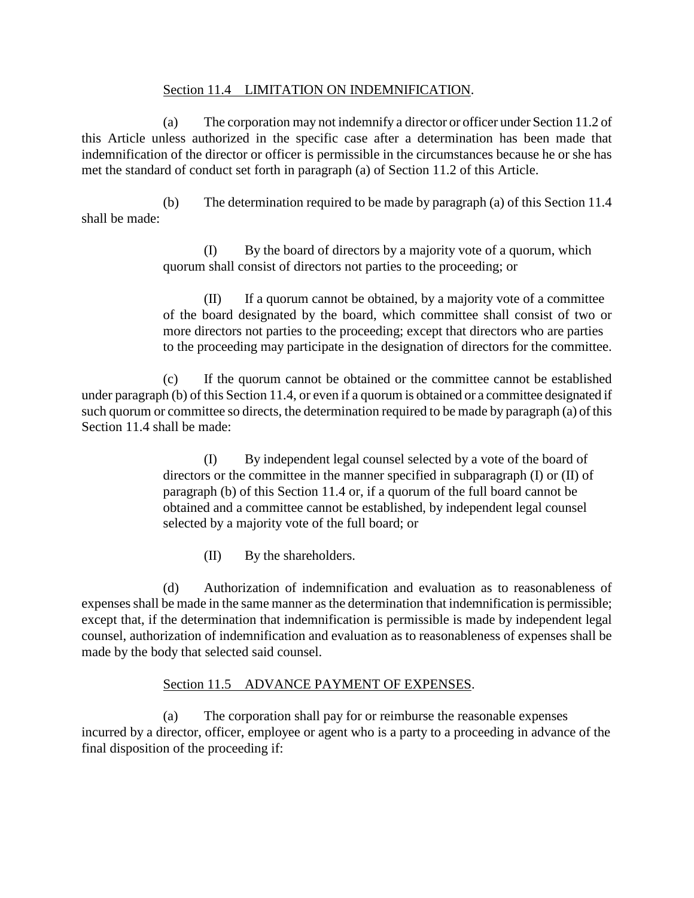### Section 11.4 LIMITATION ON INDEMNIFICATION.

(a) The corporation may not indemnify a director or officer under Section 11.2 of this Article unless authorized in the specific case after a determination has been made that indemnification of the director or officer is permissible in the circumstances because he or she has met the standard of conduct set forth in paragraph (a) of Section 11.2 of this Article.

(b) The determination required to be made by paragraph (a) of this Section 11.4 shall be made:

> (I) By the board of directors by a majority vote of a quorum, which quorum shall consist of directors not parties to the proceeding; or

(II) If a quorum cannot be obtained, by a majority vote of a committee of the board designated by the board, which committee shall consist of two or more directors not parties to the proceeding; except that directors who are parties to the proceeding may participate in the designation of directors for the committee.

(c) If the quorum cannot be obtained or the committee cannot be established under paragraph (b) of this Section 11.4, or even if a quorum is obtained or a committee designated if such quorum or committee so directs, the determination required to be made by paragraph (a) of this Section 11.4 shall be made:

> (I) By independent legal counsel selected by a vote of the board of directors or the committee in the manner specified in subparagraph (I) or (II) of paragraph (b) of this Section 11.4 or, if a quorum of the full board cannot be obtained and a committee cannot be established, by independent legal counsel selected by a majority vote of the full board; or

(II) By the shareholders.

(d) Authorization of indemnification and evaluation as to reasonableness of expenses shall be made in the same manner as the determination that indemnification is permissible; except that, if the determination that indemnification is permissible is made by independent legal counsel, authorization of indemnification and evaluation as to reasonableness of expenses shall be made by the body that selected said counsel.

## Section 11.5 ADVANCE PAYMENT OF EXPENSES.

(a) The corporation shall pay for or reimburse the reasonable expenses incurred by a director, officer, employee or agent who is a party to a proceeding in advance of the final disposition of the proceeding if: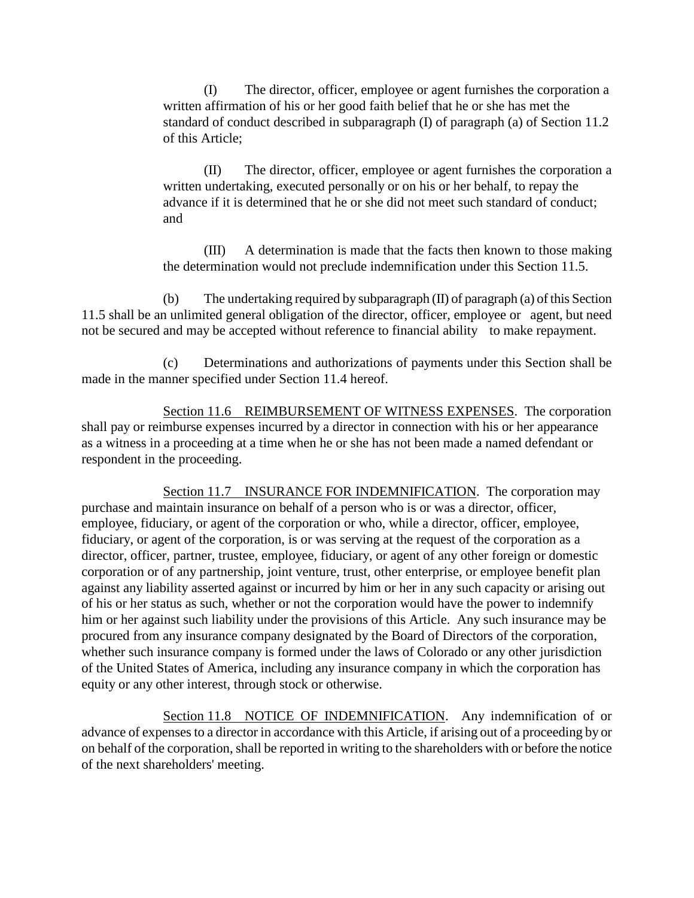(I) The director, officer, employee or agent furnishes the corporation a written affirmation of his or her good faith belief that he or she has met the standard of conduct described in subparagraph (I) of paragraph (a) of Section 11.2 of this Article;

(II) The director, officer, employee or agent furnishes the corporation a written undertaking, executed personally or on his or her behalf, to repay the advance if it is determined that he or she did not meet such standard of conduct; and

(III) A determination is made that the facts then known to those making the determination would not preclude indemnification under this Section 11.5.

(b) The undertaking required by subparagraph (II) of paragraph (a) of this Section 11.5 shall be an unlimited general obligation of the director, officer, employee or agent, but need not be secured and may be accepted without reference to financial ability to make repayment.

(c) Determinations and authorizations of payments under this Section shall be made in the manner specified under Section 11.4 hereof.

Section 11.6 REIMBURSEMENT OF WITNESS EXPENSES. The corporation shall pay or reimburse expenses incurred by a director in connection with his or her appearance as a witness in a proceeding at a time when he or she has not been made a named defendant or respondent in the proceeding.

Section 11.7 INSURANCE FOR INDEMNIFICATION. The corporation may purchase and maintain insurance on behalf of a person who is or was a director, officer, employee, fiduciary, or agent of the corporation or who, while a director, officer, employee, fiduciary, or agent of the corporation, is or was serving at the request of the corporation as a director, officer, partner, trustee, employee, fiduciary, or agent of any other foreign or domestic corporation or of any partnership, joint venture, trust, other enterprise, or employee benefit plan against any liability asserted against or incurred by him or her in any such capacity or arising out of his or her status as such, whether or not the corporation would have the power to indemnify him or her against such liability under the provisions of this Article. Any such insurance may be procured from any insurance company designated by the Board of Directors of the corporation, whether such insurance company is formed under the laws of Colorado or any other jurisdiction of the United States of America, including any insurance company in which the corporation has equity or any other interest, through stock or otherwise.

Section 11.8 NOTICE OF INDEMNIFICATION. Any indemnification of or advance of expenses to a director in accordance with this Article, if arising out of a proceeding by or on behalf of the corporation, shall be reported in writing to the shareholders with or before the notice of the next shareholders' meeting.